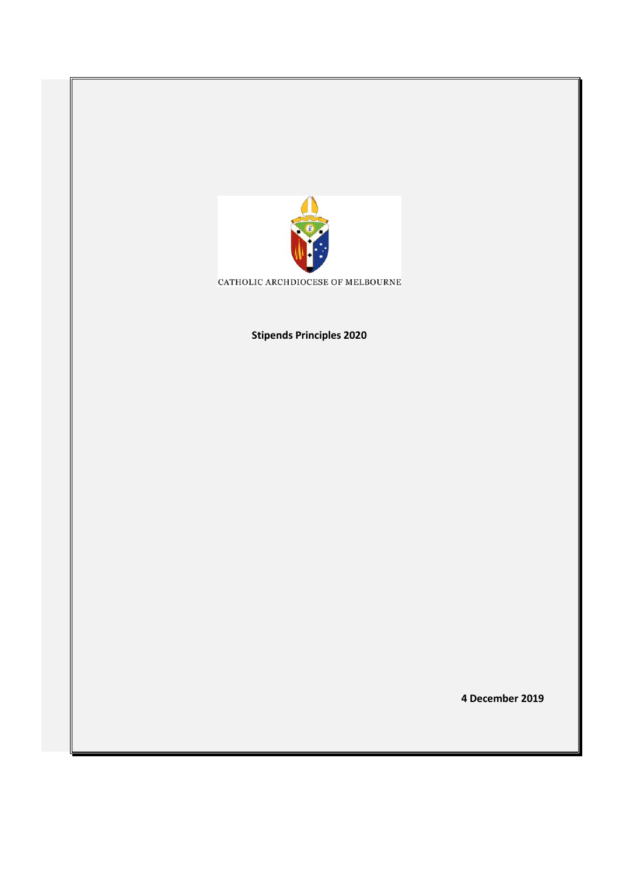

CATHOLIC ARCHDIOCESE OF MELBOURNE

**Stipends Principles 2020**

**4 December 2019**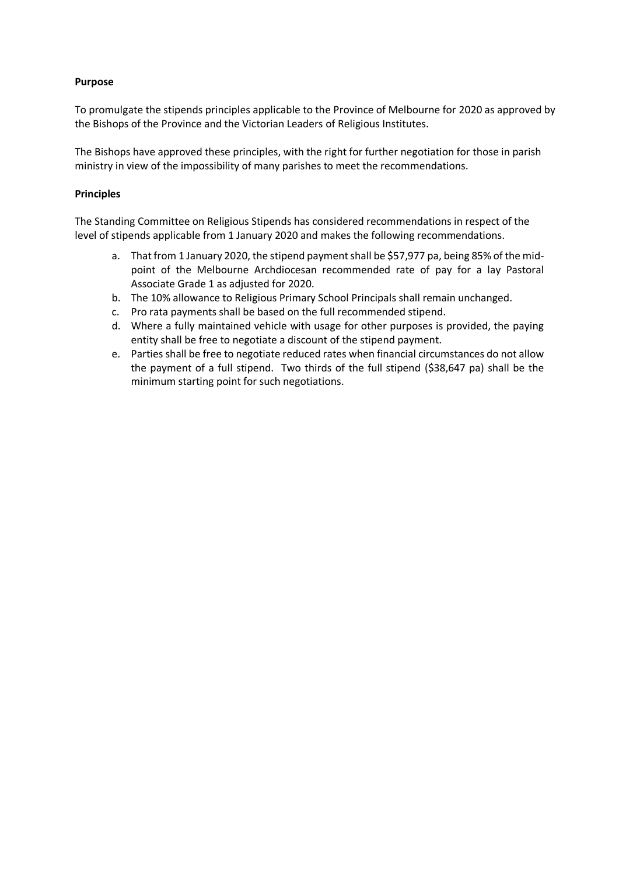## **Purpose**

To promulgate the stipends principles applicable to the Province of Melbourne for 2020 as approved by the Bishops of the Province and the Victorian Leaders of Religious Institutes.

The Bishops have approved these principles, with the right for further negotiation for those in parish ministry in view of the impossibility of many parishes to meet the recommendations.

## **Principles**

The Standing Committee on Religious Stipends has considered recommendations in respect of the level of stipends applicable from 1 January 2020 and makes the following recommendations.

- a. That from 1 January 2020, the stipend payment shall be \$57,977 pa, being 85% of the midpoint of the Melbourne Archdiocesan recommended rate of pay for a lay Pastoral Associate Grade 1 as adjusted for 2020.
- b. The 10% allowance to Religious Primary School Principals shall remain unchanged.
- c. Pro rata payments shall be based on the full recommended stipend.
- d. Where a fully maintained vehicle with usage for other purposes is provided, the paying entity shall be free to negotiate a discount of the stipend payment.
- e. Parties shall be free to negotiate reduced rates when financial circumstances do not allow the payment of a full stipend. Two thirds of the full stipend (\$38,647 pa) shall be the minimum starting point for such negotiations.